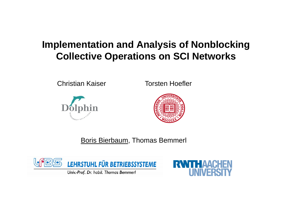### **Implementation and Analysis of Nonblocking Collective Operations on SCI Networks**

Christian Kaiser Torsten Hoefler





Boris Bierbaum, Thomas Bemmerl





Univ.-Prof. Dr. habil. Thomas Bemmerl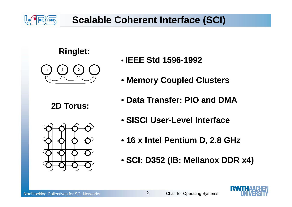

### **Scalable Coherent Interface (SCI)**





**2D Torus:**



- **IEEE Std 1596-1992**
- **Memory Coupled Clusters**
- **Data Transfer: PIO and DMA**
- **SISCI User-Level Interface**
- **16 x Intel Pentium D, 2.8 GHz**
- **SCI: D352 (IB: Mellanox DDR x4)**

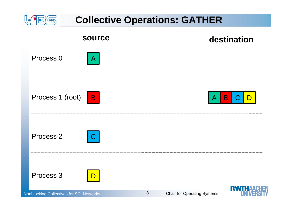

Nonblocking Collectives for SCI Networks **Chair for SCI Networks** Chair for Operating Systems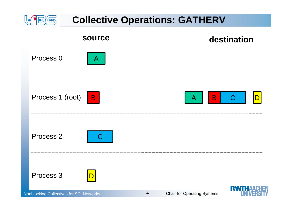

Nonblocking Collectives for SCI Networks **Chair for Operating Systems** Chair for Operating Systems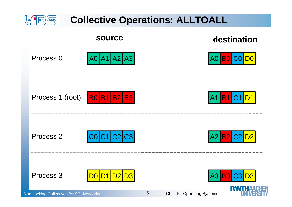

Nonblocking Collectives for SCI Networks **Chair for Operating Systems** Chair for Operating Systems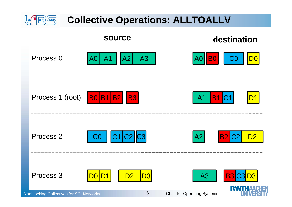

Nonblocking Collectives for SCI Networks **Chair for Chair for Operating Systems**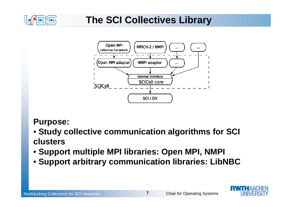

### **The SCI Collectives Library**



#### **Purpose:**

- **Study collective communication algorithms for SCI clusters**
- **Support multiple MPI libraries: Open MPI, NMPI**
- **Support arbitrary communication libraries: LibNBC**

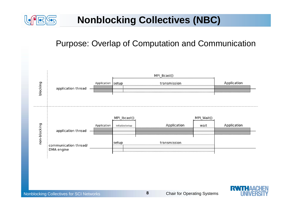

### **Nonblocking Collectives (NBC)**

#### Purpose: Overlap of Computation and Communication

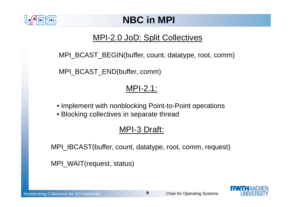

### **NBC in MPI**

#### MPI-2.0 JoD: Split Collectives

MPI\_BCAST\_BEGIN(buffer, count, datatype, root, comm)

MPI\_BCAST\_END(buffer, comm)

#### MPI-2.1:

- Implement with nonblocking Point-to-Point operations
- Blocking collectives in separate thread

#### MPI-3 Draft:

MPI\_IBCAST(buffer, count, datatype, root, comm, request)

MPI\_WAIT(request, status)

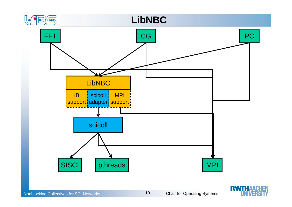



Nonblocking Collectives for SCI Networks **Chair for Operating Systems** Chair for Operating Systems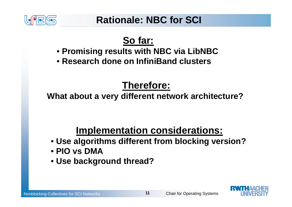

## **So far:**

- **Promising results with NBC via LibNBC**
- **Research done on InfiniBand clusters**

## **Therefore:**

**What about a very different network architecture?**

## **Implementation considerations:**

- **Use algorithms different from blocking version?**
- **PIO vs DMA**
- **Use background thread?**

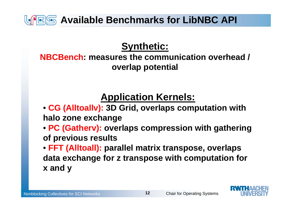**Available Benchmarks for LibNBC API**

### **Synthetic:**

**NBCBench: measures the communication overhead / overlap potential**

## **Application Kernels:**

- **CG (Alltoallv): 3D Grid, overlaps computation with halo zone exchange**
- **PC (Gatherv): overlaps compression with gathering of previous results**
- **FFT (Alltoall): parallel matrix transpose, overlaps data exchange for z transpose with computation for x and y**

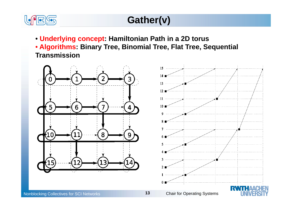

## **Gather(v)**

- **Underlying concept: Hamiltonian Path in a 2D torus**
- **Algorithms: Binary Tree, Binomial Tree, Flat Tree, Sequential Transmission**

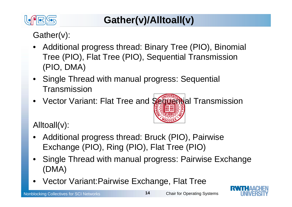

## **Gather(v)/Alltoall(v)**

### Gather(v):

- • Additional progress thread: Binary Tree (PIO), Binomial Tree (PIO), Flat Tree (PIO), Sequential Transmission (PIO, DMA)
- Single Thread with manual progress: Sequential Transmission
- •Vector Variant: Flat Tree and Sequential Transmission



Alltoall(v):

- • Additional progress thread: Bruck (PIO), Pairwise Exchange (PIO), Ring (PIO), Flat Tree (PIO)
- • Single Thread with manual progress: Pairwise Exchange (DMA)
- •Vector Variant:Pairwise Exchange, Flat Tree

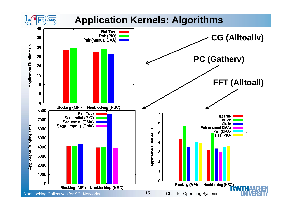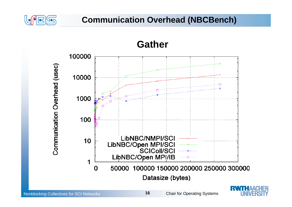

#### **Communication Overhead (NBCBench)**



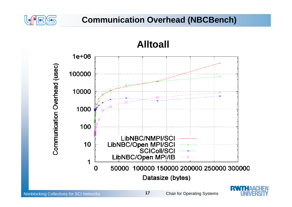

#### **Communication Overhead (NBCBench)**



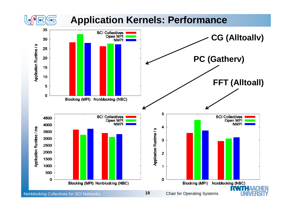### **Application Kernels: Performance**

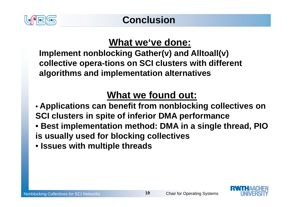

## **What we've done:**

**Implement nonblocking Gather(v) and Alltoall(v) collective opera-tions on SCI clusters with different algorithms and implementation alternatives**

## **What we found out:**

- **Applications can benefit from nonblocking collectives on SCI clusters in spite of inferior DMA performance**
- **Best implementation method: DMA in a single thread, PIO is usually used for blocking collectives**
- **Issues with multiple threads**